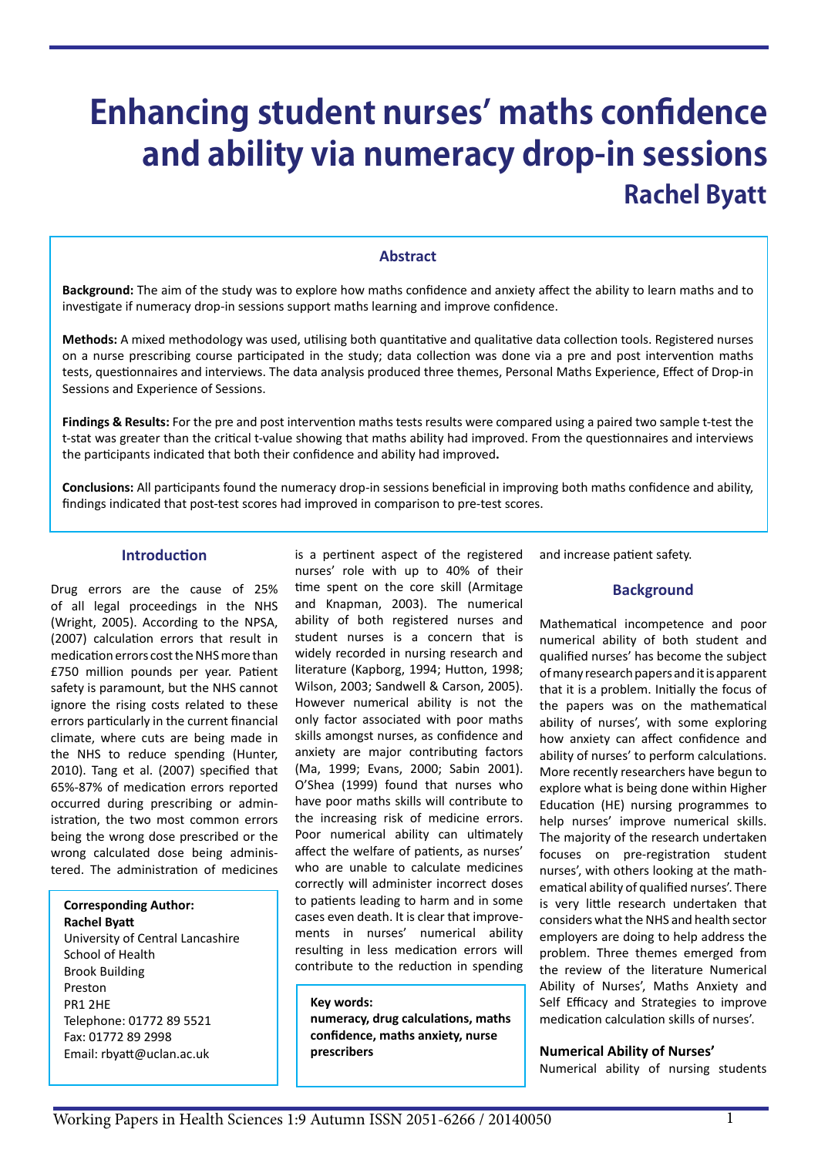# **Enhancing student nurses' maths confidence and ability via numeracy drop-in sessions Rachel Byatt**

#### **Abstract**

**Background:** The aim of the study was to explore how maths confidence and anxiety affect the ability to learn maths and to investigate if numeracy drop-in sessions support maths learning and improve confidence.

**Methods:** A mixed methodology was used, utilising both quantitative and qualitative data collection tools. Registered nurses on a nurse prescribing course participated in the study; data collection was done via a pre and post intervention maths tests, questionnaires and interviews. The data analysis produced three themes, Personal Maths Experience, Effect of Drop-in Sessions and Experience of Sessions.

**Findings & Results:** For the pre and post intervention maths tests results were compared using a paired two sample t-test the t-stat was greater than the critical t-value showing that maths ability had improved. From the questionnaires and interviews the participants indicated that both their confidence and ability had improved**.**

**Conclusions:** All participants found the numeracy drop-in sessions beneficial in improving both maths confidence and ability, findings indicated that post-test scores had improved in comparison to pre-test scores.

#### **Introduction**

Drug errors are the cause of 25% of all legal proceedings in the NHS (Wright, 2005). According to the NPSA, (2007) calculation errors that result in medication errors cost the NHS more than £750 million pounds per year. Patient safety is paramount, but the NHS cannot ignore the rising costs related to these errors particularly in the current financial climate, where cuts are being made in the NHS to reduce spending (Hunter, 2010). Tang et al. (2007) specified that 65%-87% of medication errors reported occurred during prescribing or administration, the two most common errors being the wrong dose prescribed or the wrong calculated dose being administered. The administration of medicines

**Corresponding Author: Rachel Byatt** University of Central Lancashire School of Health Brook Building

Preston PR1 2HE Telephone: 01772 89 5521 Fax: 01772 89 2998 Email: [rbyatt@uclan.ac.uk](mailto:rbyatt@uclan.ac.uk)

is a pertinent aspect of the registered nurses' role with up to 40% of their time spent on the core skill (Armitage and Knapman, 2003). The numerical ability of both registered nurses and student nurses is a concern that is widely recorded in nursing research and literature (Kapborg, 1994; Hutton, 1998; Wilson, 2003; Sandwell & Carson, 2005). However numerical ability is not the only factor associated with poor maths skills amongst nurses, as confidence and anxiety are major contributing factors (Ma, 1999; Evans, 2000; Sabin 2001). O'Shea (1999) found that nurses who have poor maths skills will contribute to the increasing risk of medicine errors. Poor numerical ability can ultimately affect the welfare of patients, as nurses' who are unable to calculate medicines correctly will administer incorrect doses to patients leading to harm and in some cases even death. It is clear that improvements in nurses' numerical ability resulting in less medication errors will contribute to the reduction in spending

**Key words: numeracy, drug calculations, maths confidence, maths anxiety, nurse prescribers**

and increase patient safety.

#### **Background**

Mathematical incompetence and poor numerical ability of both student and qualified nurses' has become the subject of many research papers and it is apparent that it is a problem. Initially the focus of the papers was on the mathematical ability of nurses', with some exploring how anxiety can affect confidence and ability of nurses' to perform calculations. More recently researchers have begun to explore what is being done within Higher Education (HE) nursing programmes to help nurses' improve numerical skills. The majority of the research undertaken focuses on pre-registration student nurses', with others looking at the mathematical ability of qualified nurses'. There is very little research undertaken that considers what the NHS and health sector employers are doing to help address the problem. Three themes emerged from the review of the literature Numerical Ability of Nurses', Maths Anxiety and Self Efficacy and Strategies to improve medication calculation skills of nurses'.

#### **Numerical Ability of Nurses'**

Numerical ability of nursing students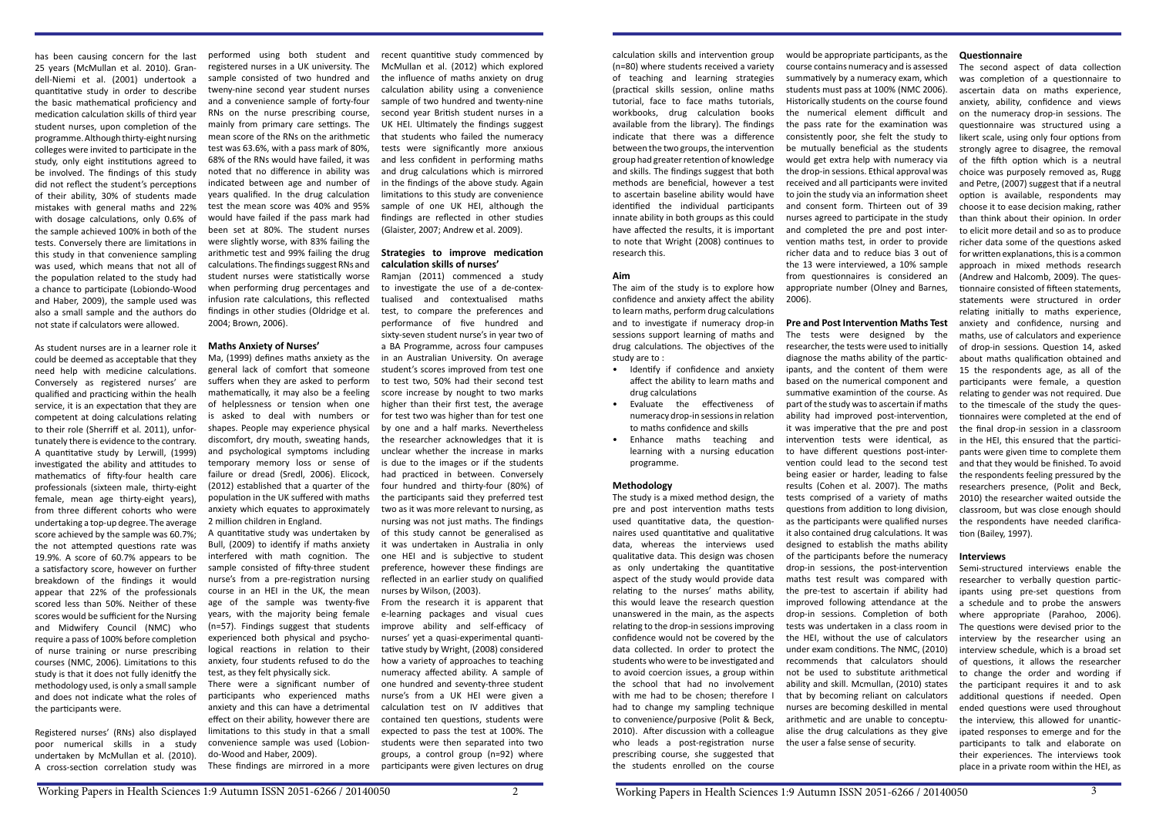has been causing concern for the last 25 years (McMullan et al. 2010). Grandell-Niemi et al. (2001) undertook a quantitative study in order to describe the basic mathematical proficiency and medication calculation skills of third year student nurses, upon completion of the programme. Although thirty-eight nursing colleges were invited to participate in the study, only eight institutions agreed to be involved. The findings of this study did not reflect the student's perceptions of their ability, 30% of students made mistakes with general maths and 22% with dosage calculations, only 0.6% of the sample achieved 100% in both of the tests. Conversely there are limitations in this study in that convenience sampling was used, which means that not all of the population related to the study had a chance to participate (Lobiondo-Wood and Haber, 2009), the sample used was also a small sample and the authors do not state if calculators were allowed.

As student nurses are in a learner role it could be deemed as acceptable that they need help with medicine calculations. Conversely as registered nurses' are qualified and practicing within the healh service, it is an expectation that they are competent at doing calculations relating to their role (Sherriff et al. 2011), unfortunately there is evidence to the contrary. A quantitative study by Lerwill, (1999) investigated the ability and attitudes to mathematics of fifty-four health care professionals (sixteen male, thirty-eight female, mean age thirty-eight years), from three different cohorts who were undertaking a top-up degree. The average score achieved by the sample was 60.7%; the not attempted questions rate was 19.9%. A score of 60.7% appears to be a satisfactory score, however on further breakdown of the findings it would appear that 22% of the professionals scored less than 50%. Neither of these scores would be sufficient for the Nursing and Midwifery Council (NMC) who require a pass of 100% before completion of nurse training or nurse prescribing courses (NMC, 2006). Limitations to this study is that it does not fully idenitfy the methodology used, is only a small sample and does not indicate what the roles of the participants were.

Registered nurses' (RNs) also displayed poor numerical skills in a study undertaken by McMullan et al. (2010). A cross-section correlation study was

performed using both student and registered nurses in a UK university. The sample consisted of two hundred and tweny-nine second year student nurses and a convenience sample of forty-four RNs on the nurse prescribing course, mainly from primary care settings. The mean score of the RNs on the arithmetic test was 63.6%, with a pass mark of 80%, 68% of the RNs would have failed, it was noted that no difference in ability was indicated between age and number of years qualified. In the drug calculation test the mean score was 40% and 95% would have failed if the pass mark had been set at 80%. The student nurses were slightly worse, with 83% failing the arithmetic test and 99% failing the drug calculations. The findings suggest RNs and student nurses were statistically worse when performing drug percentages and infusion rate calculations, this reflected findings in other studies (Oldridge et al. 2004; Brown, 2006).

#### **Maths Anxiety of Nurses'**

Ma, (1999) defines maths anxiety as the general lack of comfort that someone suffers when they are asked to perform mathematically, it may also be a feeling of helplessness or tension when one is asked to deal with numbers or shapes. People may experience physical discomfort, dry mouth, sweating hands, and psychological symptoms including temporary memory loss or sense of failure or dread (Sredl, 2006). Elicock, (2012) established that a quarter of the population in the UK suffered with maths anxiety which equates to approximately 2 million children in England.

A quantitative study was undertaken by Bull, (2009) to identify if maths anxiety interfered with math cognition. The sample consisted of fifty-three student nurse's from a pre-registration nursing course in an HEI in the UK, the mean age of the sample was twenty-five years, with the majority being female (n=57). Findings suggest that students experienced both physical and psychological reactions in relation to their anxiety, four students refused to do the test, as they felt physically sick.

There were a significant number of participants who experienced maths anxiety and this can have a detrimental effect on their ability, however there are limitations to this study in that a small convenience sample was used (Lobiondo-Wood and Haber, 2009).

These findings are mirrored in a more

recent quantitive study commenced by McMullan et al. (2012) which explored the influence of maths anxiety on drug calculation ability using a convenience sample of two hundred and twenty-nine second year British student nurses in a UK HEI. Ultimately the findings suggest that students who failed the numeracy tests were significantly more anxious and less confident in performing maths and drug calculations which is mirrored in the findings of the above study. Again limitations to this study are convenience sample of one UK HEI, although the findings are reflected in other studies (Glaister, 2007; Andrew et al. 2009).

#### **Strategies to improve medication calculation skills of nurses'**

Ramjan (2011) commenced a study to investigate the use of a de-contextualised and contextualised maths test, to compare the preferences and performance of five hundred and sixty-seven student nurse's in year two of a BA Programme, across four campuses in an Australian University. On average student's scores improved from test one to test two, 50% had their second test score increase by nought to two marks higher than their first test, the average for test two was higher than for test one by one and a half marks. Nevertheless the researcher acknowledges that it is unclear whether the increase in marks is due to the images or if the students had practiced in between. Conversely four hundred and thirty-four (80%) of the participants said they preferred test two as it was more relevant to nursing, as nursing was not just maths. The findings of this study cannot be generalised as it was undertaken in Australia in only one HEI and is subjective to student preference, however these findings are reflected in an earlier study on qualified nurses by Wilson, (2003).

From the research it is apparent that e-learning packages and visual cues improve ability and self-efficacy of nurses' yet a quasi-experimental quantitative study by Wright, (2008) considered how a variety of approaches to teaching numeracy affected ability. A sample of one hundred and seventy-three student nurse's from a UK HEI were given a calculation test on IV additives that contained ten questions, students were expected to pass the test at 100%. The students were then separated into two groups, a control group (n=92) where participants were given lectures on drug

calculation skills and intervention group (n=80) where students received a variety of teaching and learning strategies (practical skills session, online maths tutorial, face to face maths tutorials, workbooks, drug calculation books available from the library). The findings indicate that there was a difference between the two groups, the intervention group had greater retention of knowledge and skills. The findings suggest that both methods are beneficial, however a test to ascertain baseline ability would have identified the individual participants innate ability in both groups as this could have affected the results, it is important to note that Wright (2008) continues to research this.

#### **Aim**

The aim of the study is to explore how confidence and anxiety affect the ability to learn maths, perform drug calculations and to investigate if numeracy drop-in sessions support learning of maths and drug calculations. The objectives of the study are to :

- Identify if confidence and anxiety affect the ability to learn maths and drug calculations
- Evaluate the effectiveness of numeracy drop-in sessions in relation to maths confidence and skills
- Enhance maths teaching and learning with a nursing education programme.

#### **Methodology**

The study is a mixed method design, the pre and post intervention maths tests used quantitative data, the questionnaires used quantitative and qualitative data, whereas the interviews used qualitative data. This design was chosen as only undertaking the quantitative aspect of the study would provide data relating to the nurses' maths ability, this would leave the research question unanswered in the main, as the aspects relating to the drop-in sessions improving confidence would not be covered by the data collected. In order to protect the students who were to be investigated and to avoid coercion issues, a group within the school that had no involvement with me had to be chosen; therefore I had to change my sampling technique to convenience/purposive (Polit & Beck, 2010). After discussion with a colleague who leads a post-registration nurse prescribing course, she suggested that the students enrolled on the course

would be appropriate participants, as the course contains numeracy and is assessed summatively by a numeracy exam, which students must pass at 100% (NMC 2006). Historically students on the course found the numerical element difficult and the pass rate for the examination was consistently poor, she felt the study to be mutually beneficial as the students would get extra help with numeracy via the drop-in sessions. Ethical approval was received and all participants were invited to join the study via an information sheet and consent form. Thirteen out of 39 nurses agreed to participate in the study and completed the pre and post intervention maths test, in order to provide richer data and to reduce bias 3 out of the 13 were interviewed, a 10% sample from questionnaires is considered an appropriate number (Olney and Barnes, 2006).

### **Pre and Post Intervention Maths Test**

The tests were designed by the researcher, the tests were used to initially diagnose the maths ability of the participants, and the content of them were based on the numerical component and summative examintion of the course. As part of the study was to ascertain if maths ability had improved post-intervention, it was imperative that the pre and post intervention tests were identical, as to have different questions post-intervention could lead to the second test being easier or harder, leading to false results (Cohen et al. 2007). The maths tests comprised of a variety of maths questions from addition to long division, as the participants were qualified nurses it also contained drug calculations. It was designed to establish the maths ability of the participants before the numeracy drop-in sessions, the post-intervention maths test result was compared with the pre-test to ascertain if ability had improved following attendance at the drop-in sessions. Completion of both tests was undertaken in a class room in the HEI, without the use of calculators under exam conditions. The NMC, (2010) recommends that calculators should not be used to substitute arithmetical ability and skill. Mcmullan, (2010) states that by becoming reliant on calculators nurses are becoming deskilled in mental arithmetic and are unable to conceptualise the drug calculations as they give the user a false sense of security.

#### **Questionnaire**

The second aspect of data collection was completion of a questionnaire to ascertain data on maths experience, anxiety, ability, confidence and views on the numeracy drop-in sessions. The questionnaire was structured using a likert scale, using only four options from strongly agree to disagree, the removal of the fifth option which is a neutral choice was purposely removed as, Rugg and Petre, (2007) suggest that if a neutral option is available, respondents may choose it to ease decision making, rather than think about their opinion. In order to elicit more detail and so as to produce richer data some of the questions asked for written explanations, this is a common approach in mixed methods research (Andrew and Halcomb, 2009). The questionnaire consisted of fifteen statements, statements were structured in order relating initially to maths experience, anxiety and confidence, nursing and maths, use of calculators and experience of drop-in sessions. Question 14, asked about maths qualification obtained and 15 the respondents age, as all of the participants were female, a question relating to gender was not required. Due to the timescale of the study the questionnaires were completed at the end of the final drop-in session in a classroom in the HEI, this ensured that the participants were given time to complete them and that they would be finished. To avoid the respondents feeling pressured by the researchers presence, (Polit and Beck, 2010) the researcher waited outside the classroom, but was close enough should the respondents have needed clarification (Bailey, 1997).

#### **Interviews**

Semi-structured interviews enable the researcher to verbally question participants using pre-set questions from a schedule and to probe the answers where appropriate (Parahoo, 2006). The questions were devised prior to the interview by the researcher using an interview schedule, which is a broad set of questions, it allows the researcher to change the order and wording if the participant requires it and to ask additional questions if needed. Open ended questions were used throughout the interview, this allowed for unanticipated responses to emerge and for the participants to talk and elaborate on their experiences. The interviews took place in a private room within the HEI, as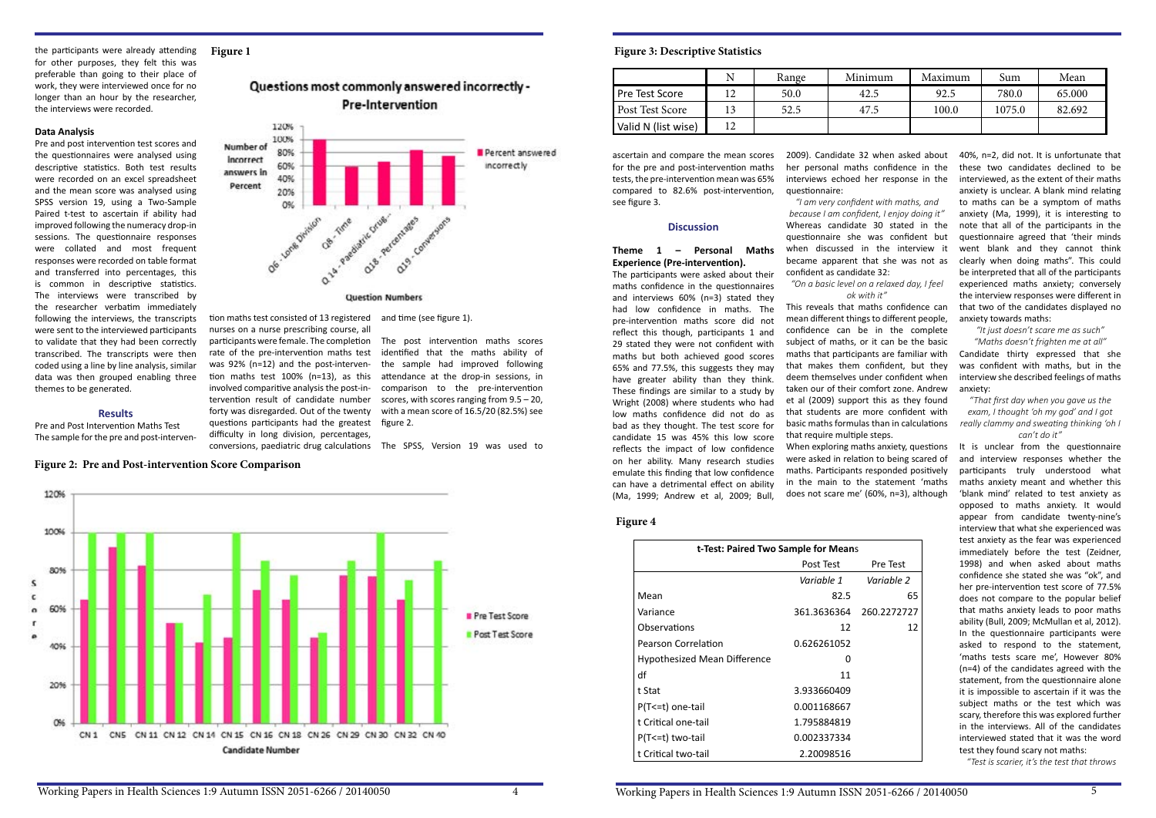#### the participants were already attending for other purposes, they felt this was preferable than going to their place of work, they were interviewed once for no longer than an hour by the researcher, the interviews were recorded.

#### **Data Analysis**

Pre and post intervention test scores and the questionnaires were analysed using descriptive statistics. Both test results were recorded on an excel spreadsheet and the mean score was analysed using SPSS version 19, using a Two-Sample Paired t-test to ascertain if ability had improved following the numeracy drop-in sessions. The questionnaire responses were collated and most frequent responses were recorded on table format and transferred into percentages, this is common in descriptive statistics. The interviews were transcribed by the researcher verbatim immediately following the interviews, the transcripts were sent to the interviewed participants to validate that they had been correctly transcribed. The transcripts were then coded using a line by line analysis, similar data was then grouped enabling three themes to be generated.

#### **Results**

Pre and Post Intervention Maths Test The sample for the pre and post-interven-

120%

nurses on a nurse prescribing course, all participants were female. The completion rate of the pre-intervention maths test was 92% (n=12) and the post-intervention maths test 100% (n=13), as this involved comparitive analysis the post-intervention result of candidate number forty was disregarded. Out of the twenty questions participants had the greatest difficulty in long division, percentages,

tion maths test consisted of 13 registered and time (see figure 1).

#### **Figure 1**

### Questions most commonly answered incorrectly -**Pre-Intervention**



conversions, paediatric drug calculations The SPSS, Version 19 was used to

The post intervention maths scores identified that the maths ability of the sample had improved following attendance at the drop-in sessions, in comparison to the pre-intervention scores, with scores ranging from 9.5 – 20, with a mean score of 16.5/20 (82.5%) see figure 2.

**Figure 2: Pre and Post-intervention Score Comparison**

ascertain and compare the mean scores for the pre and post-intervention maths tests, the pre-intervention mean was 65% compared to 82.6% post-intervention, see figure 3.

#### **Discussion**

#### **Theme 1 – Personal Maths Experience (Pre-intervention).**

The participants were asked about their maths confidence in the questionnaires and interviews 60% (n=3) stated they had low confidence in maths. The pre-intervention maths score did not reflect this though, participants 1 and 29 stated they were not confident with maths but both achieved good scores 65% and 77.5%, this suggests they may have greater ability than they think. These findings are similar to a study by Wright (2008) where students who had low maths confidence did not do as bad as they thought. The test score for candidate 15 was 45% this low score reflects the impact of low confidence on her ability. Many research studies emulate this finding that low confidence can have a detrimental effect on ability (Ma, 1999; Andrew et al, 2009; Bull,

|                     | Ν   | Range | Minimum | Maximum | Sum    | Mean   |
|---------------------|-----|-------|---------|---------|--------|--------|
| Pre Test Score      | L 4 | 50.0  | 42.5    | 92.5    | 780.0  | 65.000 |
| Post Test Score     |     | 52.5  | 47.5    | 100.0   | 1075.0 | 82.692 |
| Valid N (list wise) | 12  |       |         |         |        |        |



| t-Test: Paired Two Sample for Means |             |             |  |  |  |
|-------------------------------------|-------------|-------------|--|--|--|
|                                     | Post Test   | Pre Test    |  |  |  |
|                                     | Variable 1  | Variable 2  |  |  |  |
| Mean                                | 82.5        | 65          |  |  |  |
| Variance                            | 361.3636364 | 260.2272727 |  |  |  |
| Observations                        | 12          | 12          |  |  |  |
| <b>Pearson Correlation</b>          | 0.626261052 |             |  |  |  |
| <b>Hypothesized Mean Difference</b> | O           |             |  |  |  |
| df                                  | 11          |             |  |  |  |
| t Stat                              | 3.933660409 |             |  |  |  |
| P(T <= t) one-tail                  | 0.001168667 |             |  |  |  |
| t Critical one-tail                 | 1.795884819 |             |  |  |  |
| P(T<=t) two-tail                    | 0.002337334 |             |  |  |  |
| t Critical two-tail                 | 2.20098516  |             |  |  |  |

#### **Figure 4**

2009). Candidate 32 when asked about her personal maths confidence in the interviews echoed her response in the questionnaire:

*"I am very confident with maths, and because I am confident, I enjoy doing it"* Whereas candidate 30 stated in the questionnaire she was confident but when discussed in the interview it became apparent that she was not as confident as candidate 32:

## *"On a basic level on a relaxed day, I feel*

Pre Test *Variable 1 Variable 2* 0.2272727

*ok with it"* This reveals that maths confidence can mean different things to different people, confidence can be in the complete subject of maths, or it can be the basic maths that participants are familiar with that makes them confident, but they deem themselves under confident when taken our of their comfort zone. Andrew et al (2009) support this as they found that students are more confident with basic maths formulas than in calculations that require multiple steps. When exploring maths anxiety, questions were asked in relation to being scared of maths. Participants responded positively in the main to the statement 'maths does not scare me' (60%, n=3), although

### 100% 80% s c 60%  $\alpha$ T

Pre Test Score Post Test Score 409 20% CN1 CN5 CN11 CN12 CN14 CN15 CN16 CN18 CN26 CN29 CN30 CN32 CN40 **Candidate Number** 

40%, n=2, did not. It is unfortunate that these two candidates declined to be interviewed, as the extent of their maths anxiety is unclear. A blank mind relating to maths can be a symptom of maths anxiety (Ma, 1999), it is interesting to note that all of the participants in the questionnaire agreed that 'their minds went blank and they cannot think clearly when doing maths". This could be interpreted that all of the participants experienced maths anxiety; conversely the interview responses were different in that two of the candidates displayed no anxiety towards maths:

#### *"It just doesn't scare me as such"*

*"Maths doesn't frighten me at all"*  Candidate thirty expressed that she was confident with maths, but in the interview she described feelings of maths anxiety:

*"That first day when you gave us the exam, I thought 'oh my god' and I got really clammy and sweating thinking 'oh I can't do it"*

It is unclear from the questionnaire and interview responses whether the participants truly understood what maths anxiety meant and whether this 'blank mind' related to test anxiety as opposed to maths anxiety. It would appear from candidate twenty-nine's interview that what she experienced was test anxiety as the fear was experienced immediately before the test (Zeidner, 1998) and when asked about maths confidence she stated she was "ok", and her pre-intervention test score of 77.5% does not compare to the popular belief that maths anxiety leads to poor maths ability (Bull, 2009; McMullan et al, 2012). In the questionnaire participants were asked to respond to the statement, 'maths tests scare me', However 80% (n=4) of the candidates agreed with the statement, from the questionnaire alone it is impossible to ascertain if it was the subject maths or the test which was scary, therefore this was explored further in the interviews. All of the candidates interviewed stated that it was the word test they found scary not maths:

 *"Test is scarier, it's the test that throws*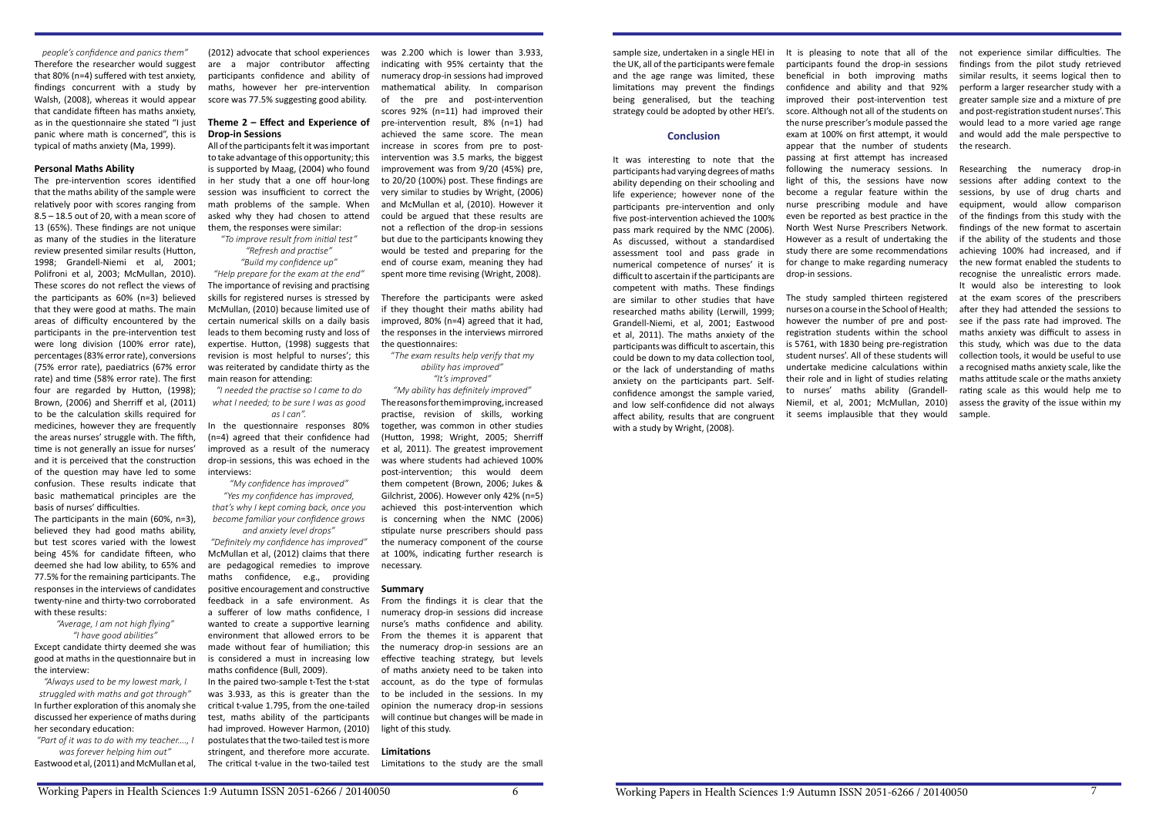*people's confidence and panics them"* Therefore the researcher would suggest that 80% (n=4) suffered with test anxiety, findings concurrent with a study by Walsh, (2008), whereas it would appear that candidate fifteen has maths anxiety, as in the questionnaire she stated "I just panic where math is concerned", this is typical of maths anxiety (Ma, 1999).

#### **Personal Maths Ability**

The pre-intervention scores identified that the maths ability of the sample were relatively poor with scores ranging from 8.5 – 18.5 out of 20, with a mean score of 13 (65%). These findings are not unique as many of the studies in the literature review presented similar results (Hutton, 1998; Grandell-Niemi et al, 2001; Polifroni et al, 2003; McMullan, 2010). These scores do not reflect the views of the participants as 60% (n=3) believed that they were good at maths. The main areas of difficulty encountered by the participants in the pre-intervention test were long division (100% error rate), percentages (83% error rate), conversions (75% error rate), paediatrics (67% error rate) and time (58% error rate). The first four are regarded by Hutton, (1998); Brown, (2006) and Sherriff et al, (2011) to be the calculation skills required for medicines, however they are frequently the areas nurses' struggle with. The fifth, time is not generally an issue for nurses' and it is perceived that the construction of the question may have led to some confusion. These results indicate that basic mathematical principles are the basis of nurses' difficulties.

The participants in the main (60%, n=3), believed they had good maths ability, but test scores varied with the lowest being 45% for candidate fifteen, who deemed she had low ability, to 65% and 77.5% for the remaining participants. The responses in the interviews of candidates twenty-nine and thirty-two corroborated with these results:

> *"Average, I am not high flying" "I have good abilities"*

Except candidate thirty deemed she was good at maths in the questionnaire but in the interview:

*"Always used to be my lowest mark, I struggled with maths and got through"* In further exploration of this anomaly she discussed her experience of maths during her secondary education:

*"Part of it was to do with my teacher…., I was forever helping him out"* Eastwood et al, (2011) and McMullan et al,

(2012) advocate that school experiences are a major contributor affecting participants confidence and ability of maths, however her pre-intervention score was 77.5% suggesting good ability.

#### **Theme 2 – Effect and Experience of Drop-in Sessions**

All of the participants felt it was important to take advantage of this opportunity; this is supported by Maag, (2004) who found in her study that a one off hour-long session was insufficient to correct the math problems of the sample. When asked why they had chosen to attend them, the responses were similar:

*"To improve result from initial test" "Refresh and practise"*

*"Build my confidence up"*

*"Help prepare for the exam at the end"* The importance of revising and practising skills for registered nurses is stressed by McMullan, (2010) because limited use of certain numerical skills on a daily basis leads to them becoming rusty and loss of expertise. Hutton, (1998) suggests that revision is most helpful to nurses'; this was reiterated by candidate thirty as the main reason for attending:

*"I needed the practise so I came to do what I needed; to be sure I was as good as I can".*

In the questionnaire responses 80% (n=4) agreed that their confidence had improved as a result of the numeracy drop-in sessions, this was echoed in the interviews:

*"My confidence has improved"*

*"Yes my confidence has improved, that's why I kept coming back, once you become familiar your confidence grows and anxiety level drops"*

*"Definitely my confidence has improved"* McMullan et al, (2012) claims that there are pedagogical remedies to improve maths confidence, e.g., providing positive encouragement and constructive feedback in a safe environment. As a sufferer of low maths confidence, I wanted to create a supportive learning environment that allowed errors to be made without fear of humiliation; this is considered a must in increasing low maths confidence (Bull, 2009).

In the paired two-sample t-Test the t-stat was 3.933, as this is greater than the critical t-value 1.795, from the one-tailed test, maths ability of the participants had improved. However Harmon, (2010) postulates that the two-tailed test is more stringent, and therefore more accurate. The critical t-value in the two-tailed test

was 2.200 which is lower than 3.933, indicating with 95% certainty that the numeracy drop-in sessions had improved mathematical ability. In comparison of the pre and post-intervention scores 92% (n=11) had improved their pre-intervention result, 8% (n=1) had achieved the same score. The mean increase in scores from pre to postintervention was 3.5 marks, the biggest improvement was from 9/20 (45%) pre, to 20/20 (100%) post. These findings are very similar to studies by Wright, (2006) and McMullan et al, (2010). However it could be argued that these results are not a reflection of the drop-in sessions but due to the participants knowing they would be tested and preparing for the end of course exam, meaning they had spent more time revising (Wright, 2008).

Therefore the participants were asked if they thought their maths ability had improved, 80% (n=4) agreed that it had, the responses in the interviews mirrored the questionnaires:

#### *"The exam results help verify that my ability has improved" "It's improved"*

*"My ability has definitely improved"*

The reasons for them improving, increased practise, revision of skills, working together, was common in other studies (Hutton, 1998; Wright, 2005; Sherriff et al, 2011). The greatest improvement was where students had achieved 100% post-intervention; this would deem them competent (Brown, 2006; Jukes & Gilchrist, 2006). However only 42% (n=5) achieved this post-intervention which is concerning when the NMC (2006) stipulate nurse prescribers should pass the numeracy component of the course at 100%, indicating further research is necessary.

#### **Summary**

From the findings it is clear that the numeracy drop-in sessions did increase nurse's maths confidence and ability. From the themes it is apparent that the numeracy drop-in sessions are an effective teaching strategy, but levels of maths anxiety need to be taken into account, as do the type of formulas to be included in the sessions. In my opinion the numeracy drop-in sessions will continue but changes will be made in light of this study.

#### **Limitations**

Limitations to the study are the small

sample size, undertaken in a single HEI in the UK, all of the participants were female and the age range was limited, these limitations may prevent the findings being generalised, but the teaching strategy could be adopted by other HEI's.

#### **Conclusion**

It was interesting to note that the participants had varying degrees of maths ability depending on their schooling and life experience; however none of the participants pre-intervention and only five post-intervention achieved the 100% pass mark required by the NMC (2006). As discussed, without a standardised assessment tool and pass grade in numerical competence of nurses' it is difficult to ascertain if the participants are competent with maths. These findings are similar to other studies that have researched maths ability (Lerwill, 1999; Grandell-Niemi, et al, 2001; Eastwood et al, 2011). The maths anxiety of the participants was difficult to ascertain, this could be down to my data collection tool, or the lack of understanding of maths anxiety on the participants part. Selfconfidence amongst the sample varied, and low self-confidence did not always affect ability, results that are congruent with a study by Wright, (2008).

It is pleasing to note that all of the participants found the drop-in sessions beneficial in both improving maths confidence and ability and that 92% improved their post-intervention test score. Although not all of the students on the nurse prescriber's module passed the exam at 100% on first attempt, it would appear that the number of students passing at first attempt has increased following the numeracy sessions. In light of this, the sessions have now become a regular feature within the nurse prescribing module and have even be reported as best practice in the North West Nurse Prescribers Network. However as a result of undertaking the study there are some recommendations for change to make regarding numeracy drop-in sessions.

The study sampled thirteen registered nurses on a course in the School of Health; however the number of pre and postregistration students within the school is 5761, with 1830 being pre-registration student nurses'. All of these students will undertake medicine calculations within their role and in light of studies relating to nurses' maths ability (Grandell-Niemil, et al, 2001; McMullan, 2010) it seems implausible that they would

not experience similar difficulties. The findings from the pilot study retrieved similar results, it seems logical then to perform a larger researcher study with a greater sample size and a mixture of pre and post-registration student nurses'. This would lead to a more varied age range and would add the male perspective to the research.

Researching the numeracy drop-in sessions after adding context to the sessions, by use of drug charts and equipment, would allow comparison of the findings from this study with the findings of the new format to ascertain if the ability of the students and those achieving 100% had increased, and if the new format enabled the students to recognise the unrealistic errors made. It would also be interesting to look at the exam scores of the prescribers after they had attended the sessions to see if the pass rate had improved. The maths anxiety was difficult to assess in this study, which was due to the data collection tools, it would be useful to use a recognised maths anxiety scale, like the maths attitude scale or the maths anxiety rating scale as this would help me to assess the gravity of the issue within my sample.